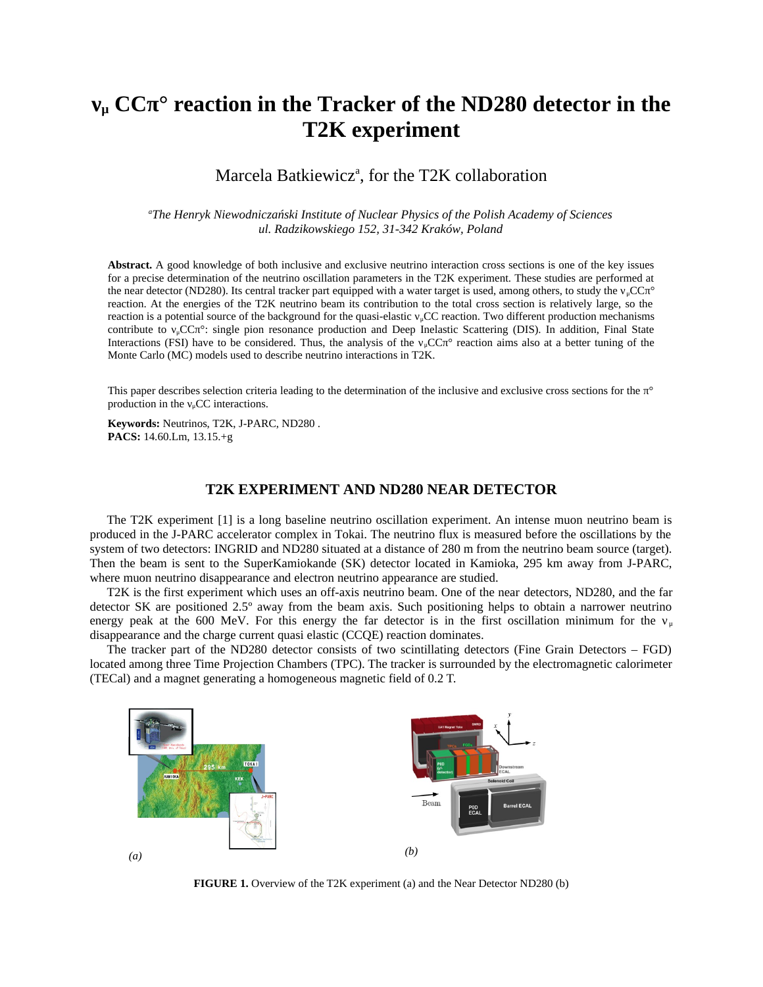# **νμ CCπ° reaction in the Tracker of the ND280 detector in the T2K experiment**

# Marcela Batkiewicz<sup>a</sup>, for the T2K collaboration

*<sup>a</sup>The Henryk Niewodniczański Institute of Nuclear Physics of the Polish Academy of Sciences ul. Radzikowskiego 152, 31-342 Kraków, Poland*

**Abstract.** A good knowledge of both inclusive and exclusive neutrino interaction cross sections is one of the key issues for a precise determination of the neutrino oscillation parameters in the T2K experiment. These studies are performed at the near detector (ND280). Its central tracker part equipped with a water target is used, among others, to study the  $v<sub>μ</sub>CCπ<sup>o</sup>$ reaction. At the energies of the T2K neutrino beam its contribution to the total cross section is relatively large, so the reaction is a potential source of the background for the quasi-elastic  $v_u$ CC reaction. Two different production mechanisms contribute to νμCCπ°: single pion resonance production and Deep Inelastic Scattering (DIS). In addition, Final State Interactions (FSI) have to be considered. Thus, the analysis of the  $v<sub>\mu</sub>CC\pi<sup>o</sup>$  reaction aims also at a better tuning of the Monte Carlo (MC) models used to describe neutrino interactions in T2K.

This paper describes selection criteria leading to the determination of the inclusive and exclusive cross sections for the π° production in the  $v_\mu$ CC interactions.

**Keywords:** Neutrinos, T2K, J-PARC, ND280 . **PACS:** 14.60.Lm, 13.15.+g

# **T2K EXPERIMENT AND ND280 NEAR DETECTOR**

The T2K experiment [\[1\]](#page-2-0) is a long baseline neutrino oscillation experiment. An intense muon neutrino beam is produced in the J-PARC accelerator complex in Tokai. The neutrino flux is measured before the oscillations by the system of two detectors: INGRID and ND280 situated at a distance of 280 m from the neutrino beam source (target). Then the beam is sent to the SuperKamiokande (SK) detector located in Kamioka, 295 km away from J-PARC, where muon neutrino disappearance and electron neutrino appearance are studied.

T2K is the first experiment which uses an off-axis neutrino beam. One of the near detectors, ND280, and the far detector SK are positioned 2.5º away from the beam axis. Such positioning helps to obtain a narrower neutrino energy peak at the 600 MeV. For this energy the far detector is in the first oscillation minimum for the  $v<sub>u</sub>$ disappearance and the charge current quasi elastic (CCQE) reaction dominates.

The tracker part of the ND280 detector consists of two scintillating detectors (Fine Grain Detectors – FGD) located among three Time Projection Chambers (TPC). The tracker is surrounded by the electromagnetic calorimeter (TECal) and a magnet generating a homogeneous magnetic field of 0.2 T.



**FIGURE 1.** Overview of the T2K experiment (a) and the Near Detector ND280 (b)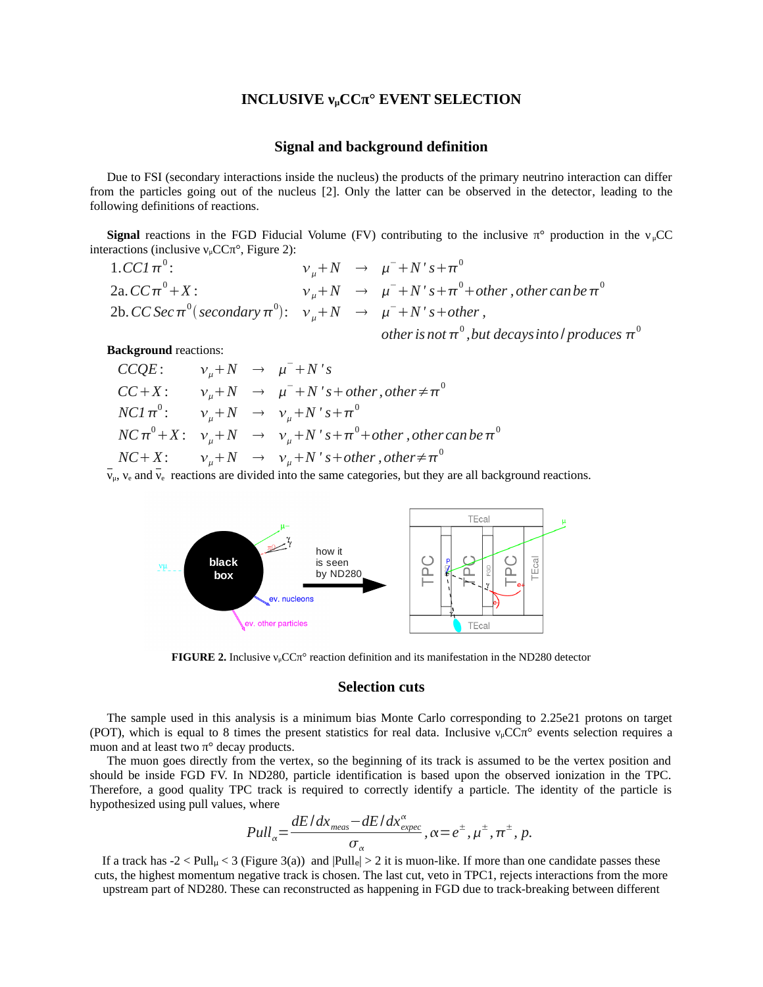#### **INCLUSIVE νμCCπ° EVENT SELECTION**

#### **Signal and background definition**

Due to FSI (secondary interactions inside the nucleus) the products of the primary neutrino interaction can differ from the particles going out of the nucleus [\[2\]](#page-2-2). Only the latter can be observed in the detector, leading to the following definitions of reactions.

**Signal** reactions in the FGD Fiducial Volume (FV) contributing to the inclusive  $\pi^{\circ}$  production in the  $v_uCC$ interactions (inclusive  $v_\mu$ CC $\pi$ °, Figure [2\)](#page-1-0):

 $1.$ *CC1*  $\pi^0$  $ν_{μ} + N → μ<sup>-</sup> + N's + π<sup>0</sup>$ 2a.  $CC\pi^{0} + X$ :  $v_{\mu} + N \rightarrow \mu^{-} + N's + \pi^{0} + \text{other}$  , other can be  $\pi^{0}$  $2b$ *.* CC Sec  $\pi^0$  (secondary  $\pi^0$ ):  $v_\mu + N \rightarrow \mu^- + N$ 's + other, other is not  $\pi^{\scriptscriptstyle{0}}$  , but decays into *l* produces  $\pi^{\scriptscriptstyle{0}}$ 

**Background** reactions:

*CCQE* :  $v_{\mu} + N \rightarrow \mu^{-} + N's$  $CC+X:$   $v_{\mu}+N \rightarrow \mu^{-}+N$ 's+other,other $\neq \pi^{0}$  $NC1\pi^0$ :  $v_\mu+N \rightarrow v_\mu+N's+\pi^0$  $NC\,\pi^0\!+\!X\!:\!\quad\nu_{\mu}\!+\!N\ \ \rightarrow \ \ \, \nu_{\mu}\!+\!N\,$ ' s $+ \pi^0\!+\!$  other , other can be  $\pi^0$  $NC+X:$   $v_{\mu}+N \rightarrow v_{\mu}+N$  's+other , other  $\neq \pi^{0}$ 

 $\bar{v}_{\mu}$ ,  $v_{\rm e}$  and  $\bar{v}_{\rm e}$  reactions are divided into the same categories, but they are all background reactions.



<span id="page-1-0"></span>**FIGURE 2.** Inclusive νμCCπ° reaction definition and its manifestation in the ND280 detector

#### **Selection cuts**

The sample used in this analysis is a minimum bias Monte Carlo corresponding to 2.25e21 protons on target (POT), which is equal to 8 times the present statistics for real data. Inclusive  $v_\mu$ CC $\pi$ ° events selection requires a muon and at least two  $\pi^{\circ}$  decay products.

The muon goes directly from the vertex, so the beginning of its track is assumed to be the vertex position and should be inside FGD FV. In ND280, particle identification is based upon the observed ionization in the TPC. Therefore, a good quality TPC track is required to correctly identify a particle. The identity of the particle is hypothesized using pull values, where

$$
Pull_{\alpha} = \frac{dE/dx_{\text{meas}} - dE/dx_{\text{expec}}^{\alpha}}{\sigma_{\alpha}}, \alpha = e^{\pm}, \mu^{\pm}, \pi^{\pm}, p.
$$

If a track has  $-2 <$  Pull<sub>u</sub>  $<$  3 (Figure [3\(](#page-2-1)a)) and  $|Pull_e|$   $>$  2 it is muon-like. If more than one candidate passes these cuts, the highest momentum negative track is chosen. The last cut, veto in TPC1, rejects interactions from the more upstream part of ND280. These can reconstructed as happening in FGD due to track-breaking between different